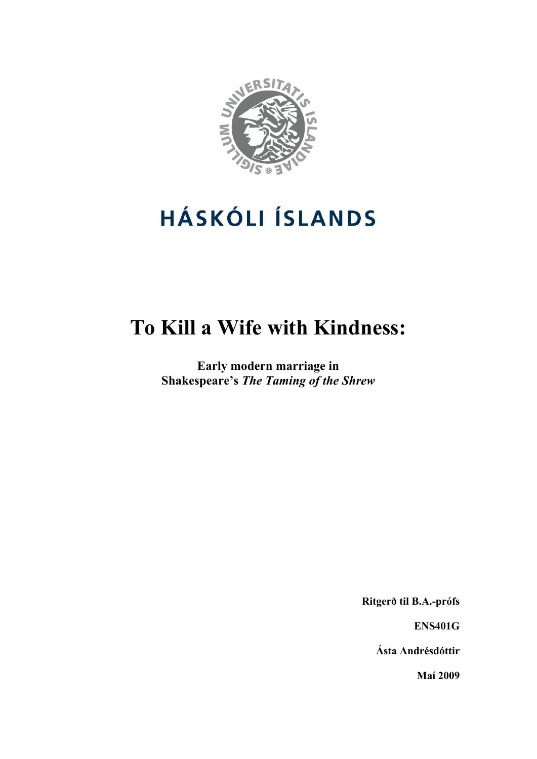

# **HÁSKÓLI ÍSLANDS**

## **To Kill a Wife with Kindness:**

**Early modern marriage in Shakespeare's** *The Taming of the Shrew*

**Ritgerð til B.A.-prófs** 

**ENS401G** 

**Ásta Andrésdóttir** 

**Maí 2009**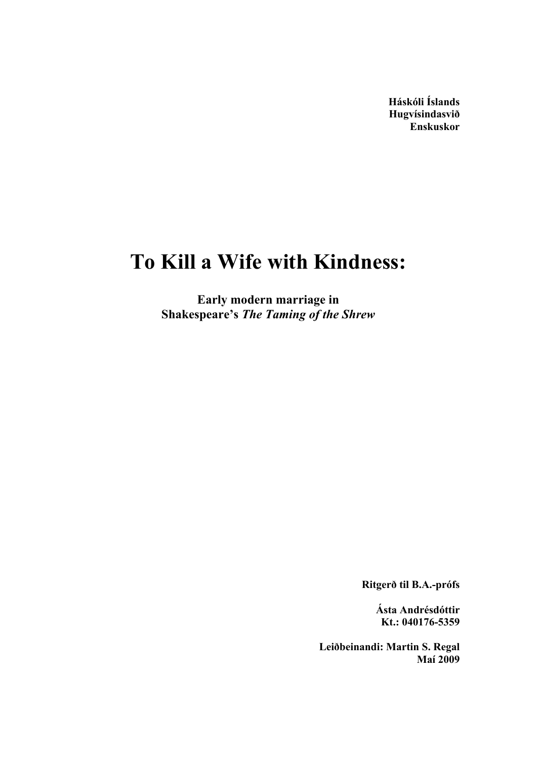**Háskóli Íslands Hugvísindasvið Enskuskor** 

### **To Kill a Wife with Kindness:**

**Early modern marriage in Shakespeare's** *The Taming of the Shrew*

**Ritgerð til B.A.-prófs** 

**Ásta Andrésdóttir Kt.: 040176-5359** 

**Leiðbeinandi: Martin S. Regal Maí 2009**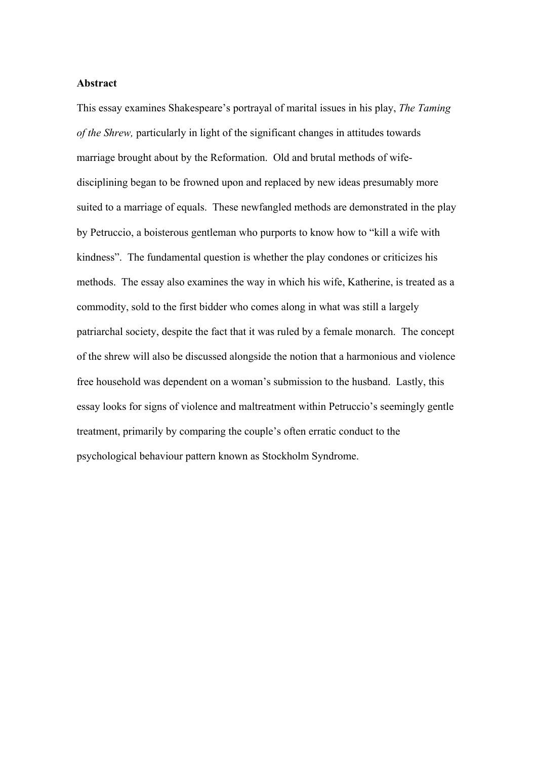#### **Abstract**

This essay examines Shakespeare's portrayal of marital issues in his play, *The Taming of the Shrew,* particularly in light of the significant changes in attitudes towards marriage brought about by the Reformation. Old and brutal methods of wifedisciplining began to be frowned upon and replaced by new ideas presumably more suited to a marriage of equals. These newfangled methods are demonstrated in the play by Petruccio, a boisterous gentleman who purports to know how to "kill a wife with kindness". The fundamental question is whether the play condones or criticizes his methods. The essay also examines the way in which his wife, Katherine, is treated as a commodity, sold to the first bidder who comes along in what was still a largely patriarchal society, despite the fact that it was ruled by a female monarch. The concept of the shrew will also be discussed alongside the notion that a harmonious and violence free household was dependent on a woman's submission to the husband. Lastly, this essay looks for signs of violence and maltreatment within Petruccio's seemingly gentle treatment, primarily by comparing the couple's often erratic conduct to the psychological behaviour pattern known as Stockholm Syndrome.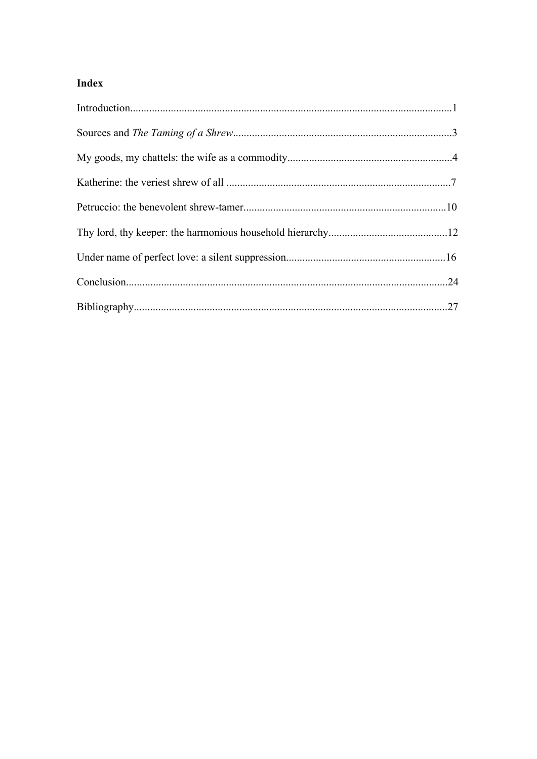#### Index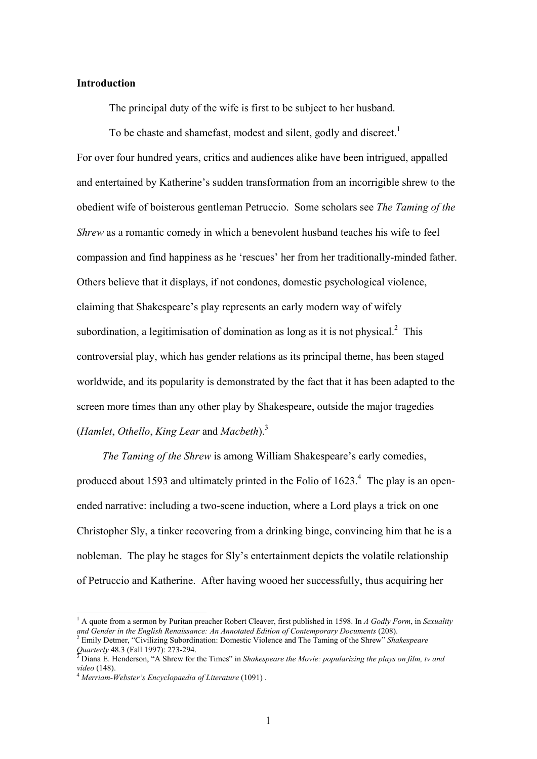#### **Introduction**

The principal duty of the wife is first to be subject to her husband.

To be chaste and shamefast, modest and silent, godly and discreet.<sup>1</sup> For over four hundred years, critics and audiences alike have been intrigued, appalled and entertained by Katherine's sudden transformation from an incorrigible shrew to the obedient wife of boisterous gentleman Petruccio. Some scholars see *The Taming of the Shrew* as a romantic comedy in which a benevolent husband teaches his wife to feel compassion and find happiness as he 'rescues' her from her traditionally-minded father. Others believe that it displays, if not condones, domestic psychological violence, claiming that Shakespeare's play represents an early modern way of wifely subordination, a legitimisation of domination as long as it is not physical. $2$  This controversial play, which has gender relations as its principal theme, has been staged worldwide, and its popularity is demonstrated by the fact that it has been adapted to the screen more times than any other play by Shakespeare, outside the major tragedies (*Hamlet*, *Othello*, *King Lear* and *Macbeth*).3

*The Taming of the Shrew* is among William Shakespeare's early comedies, produced about 1593 and ultimately printed in the Folio of  $1623<sup>4</sup>$ . The play is an openended narrative: including a two-scene induction, where a Lord plays a trick on one Christopher Sly, a tinker recovering from a drinking binge, convincing him that he is a nobleman. The play he stages for Sly's entertainment depicts the volatile relationship of Petruccio and Katherine. After having wooed her successfully, thus acquiring her

<sup>&</sup>lt;sup>1</sup> A quote from a sermon by Puritan preacher Robert Cleaver, first published in 1598. In A Godly Form, in Sexuality and Gender in the English Renaissance: An Annotated Edition of Contemporary Documents (208).<br><sup>2</sup> Emily Detmer, "Civilizing Subordination: Domestic Violence and The Taming of the Shrew" *Shakespeare* 

*Quarterly* 48.3 (Fall 1997): 273-294.

Diana E. Henderson, "A Shrew for the Times" in *Shakespeare the Movie: popularizing the plays on film, tv and video* (148). 4 *Merriam-Webster's Encyclopaedia of Literature* (1091) .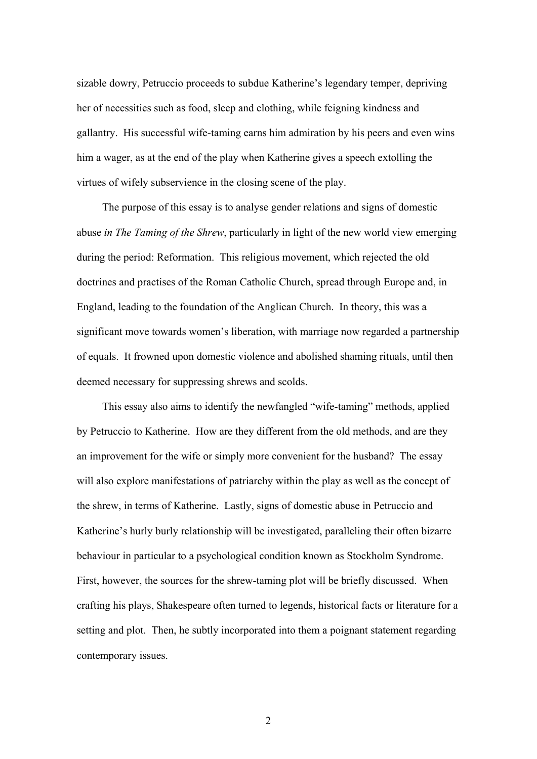sizable dowry, Petruccio proceeds to subdue Katherine's legendary temper, depriving her of necessities such as food, sleep and clothing, while feigning kindness and gallantry. His successful wife-taming earns him admiration by his peers and even wins him a wager, as at the end of the play when Katherine gives a speech extolling the virtues of wifely subservience in the closing scene of the play.

 The purpose of this essay is to analyse gender relations and signs of domestic abuse *in The Taming of the Shrew*, particularly in light of the new world view emerging during the period: Reformation. This religious movement, which rejected the old doctrines and practises of the Roman Catholic Church, spread through Europe and, in England, leading to the foundation of the Anglican Church. In theory, this was a significant move towards women's liberation, with marriage now regarded a partnership of equals. It frowned upon domestic violence and abolished shaming rituals, until then deemed necessary for suppressing shrews and scolds.

 This essay also aims to identify the newfangled "wife-taming" methods, applied by Petruccio to Katherine. How are they different from the old methods, and are they an improvement for the wife or simply more convenient for the husband? The essay will also explore manifestations of patriarchy within the play as well as the concept of the shrew, in terms of Katherine. Lastly, signs of domestic abuse in Petruccio and Katherine's hurly burly relationship will be investigated, paralleling their often bizarre behaviour in particular to a psychological condition known as Stockholm Syndrome. First, however, the sources for the shrew-taming plot will be briefly discussed. When crafting his plays, Shakespeare often turned to legends, historical facts or literature for a setting and plot. Then, he subtly incorporated into them a poignant statement regarding contemporary issues.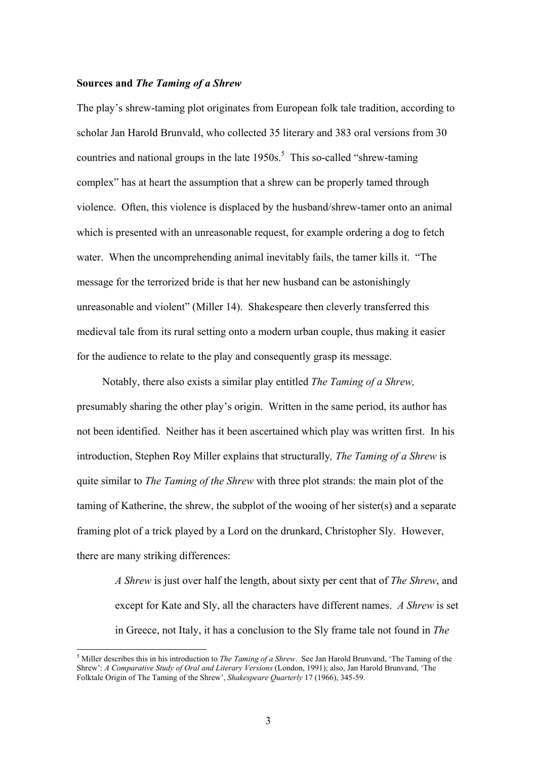#### **Sources and** *The Taming of a Shrew*

The play's shrew-taming plot originates from European folk tale tradition, according to scholar Jan Harold Brunvald, who collected 35 literary and 383 oral versions from 30 countries and national groups in the late  $1950s$ .<sup>5</sup> This so-called "shrew-taming" complex" has at heart the assumption that a shrew can be properly tamed through violence. Often, this violence is displaced by the husband/shrew-tamer onto an animal which is presented with an unreasonable request, for example ordering a dog to fetch water. When the uncomprehending animal inevitably fails, the tamer kills it. "The message for the terrorized bride is that her new husband can be astonishingly unreasonable and violent" (Miller 14). Shakespeare then cleverly transferred this medieval tale from its rural setting onto a modern urban couple, thus making it easier for the audience to relate to the play and consequently grasp its message.

Notably, there also exists a similar play entitled *The Taming of a Shrew,*  presumably sharing the other play's origin. Written in the same period, its author has not been identified. Neither has it been ascertained which play was written first. In his introduction, Stephen Roy Miller explains that structurally*, The Taming of a Shrew* is quite similar to *The Taming of the Shrew* with three plot strands: the main plot of the taming of Katherine, the shrew, the subplot of the wooing of her sister(s) and a separate framing plot of a trick played by a Lord on the drunkard, Christopher Sly. However, there are many striking differences:

*A Shrew* is just over half the length, about sixty per cent that of *The Shrew*, and except for Kate and Sly, all the characters have different names. *A Shrew* is set in Greece, not Italy, it has a conclusion to the Sly frame tale not found in *The* 

<sup>5</sup> Miller describes this in his introduction to *The Taming of a Shrew*. See Jan Harold Brunvand, 'The Taming of the Shrew': *A Comparative Study of Oral and Literary Versions* (London, 1991); also, Jan Harold Brunvand, 'The Folktale Origin of The Taming of the Shrew', *Shakespeare Quarterly* 17 (1966), 345-59.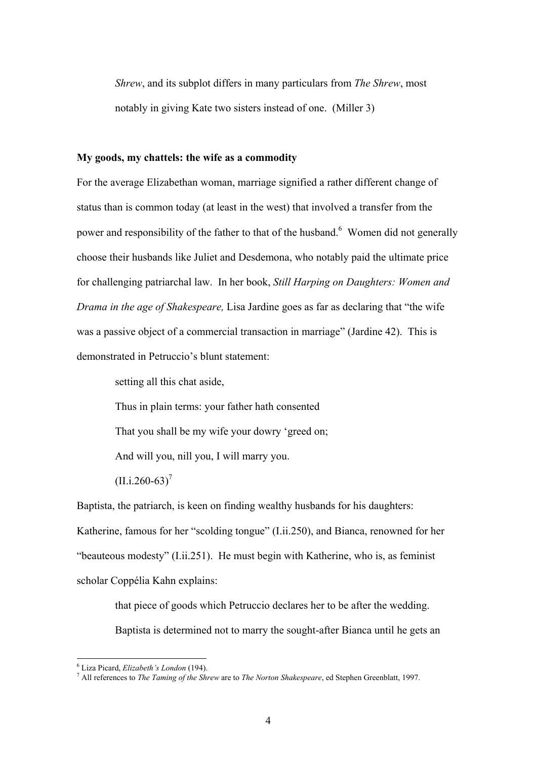*Shrew*, and its subplot differs in many particulars from *The Shrew*, most notably in giving Kate two sisters instead of one. (Miller 3)

#### **My goods, my chattels: the wife as a commodity**

For the average Elizabethan woman, marriage signified a rather different change of status than is common today (at least in the west) that involved a transfer from the power and responsibility of the father to that of the husband.<sup>6</sup> Women did not generally choose their husbands like Juliet and Desdemona, who notably paid the ultimate price for challenging patriarchal law. In her book, *Still Harping on Daughters: Women and Drama in the age of Shakespeare,* Lisa Jardine goes as far as declaring that "the wife was a passive object of a commercial transaction in marriage" (Jardine 42). This is demonstrated in Petruccio's blunt statement:

setting all this chat aside,

Thus in plain terms: your father hath consented

That you shall be my wife your dowry 'greed on;

And will you, nill you, I will marry you.

 $(II. i.260-63)^7$ 

Baptista, the patriarch, is keen on finding wealthy husbands for his daughters: Katherine, famous for her "scolding tongue" (I.ii.250), and Bianca, renowned for her "beauteous modesty" (I.ii.251). He must begin with Katherine, who is, as feminist scholar Coppélia Kahn explains:

> that piece of goods which Petruccio declares her to be after the wedding. Baptista is determined not to marry the sought-after Bianca until he gets an

<sup>&</sup>lt;sup>6</sup> Liza Picard. *Elizabeth's London* (194).

<sup>&</sup>lt;sup>6</sup> Liza Picard, *Elizabeth's London* (194).<br><sup>7</sup> All references to *The Taming of the Shrew* are to *The Norton Shakespeare*, ed Stephen Greenblatt, 1997.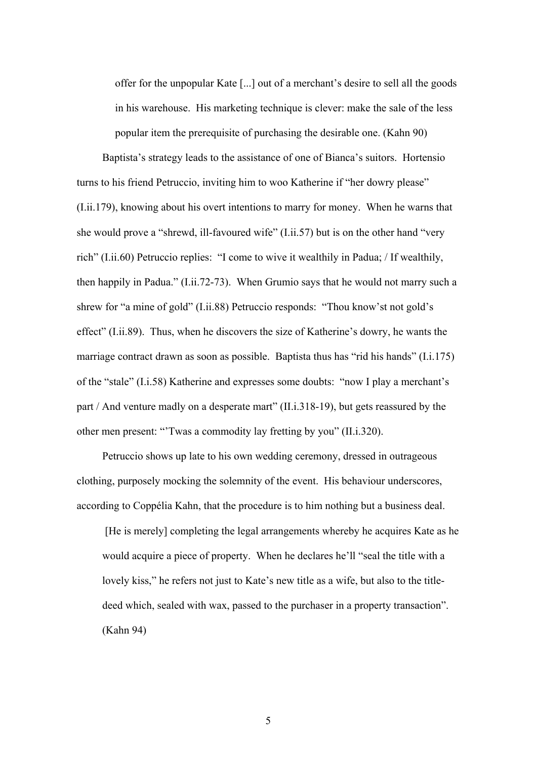offer for the unpopular Kate [...] out of a merchant's desire to sell all the goods in his warehouse. His marketing technique is clever: make the sale of the less popular item the prerequisite of purchasing the desirable one. (Kahn 90)

 Baptista's strategy leads to the assistance of one of Bianca's suitors. Hortensio turns to his friend Petruccio, inviting him to woo Katherine if "her dowry please" (I.ii.179), knowing about his overt intentions to marry for money. When he warns that she would prove a "shrewd, ill-favoured wife" (I.ii.57) but is on the other hand "very rich" (I.ii.60) Petruccio replies: "I come to wive it wealthily in Padua; / If wealthily, then happily in Padua." (I.ii.72-73). When Grumio says that he would not marry such a shrew for "a mine of gold" (I.ii.88) Petruccio responds: "Thou know'st not gold's effect" (I.ii.89). Thus, when he discovers the size of Katherine's dowry, he wants the marriage contract drawn as soon as possible. Baptista thus has "rid his hands" (I.i.175) of the "stale" (I.i.58) Katherine and expresses some doubts: "now I play a merchant's part / And venture madly on a desperate mart" (II.i.318-19), but gets reassured by the other men present: "'Twas a commodity lay fretting by you" (II.i.320).

 Petruccio shows up late to his own wedding ceremony, dressed in outrageous clothing, purposely mocking the solemnity of the event. His behaviour underscores, according to Coppélia Kahn, that the procedure is to him nothing but a business deal.

 [He is merely] completing the legal arrangements whereby he acquires Kate as he would acquire a piece of property. When he declares he'll "seal the title with a lovely kiss," he refers not just to Kate's new title as a wife, but also to the titledeed which, sealed with wax, passed to the purchaser in a property transaction". (Kahn 94)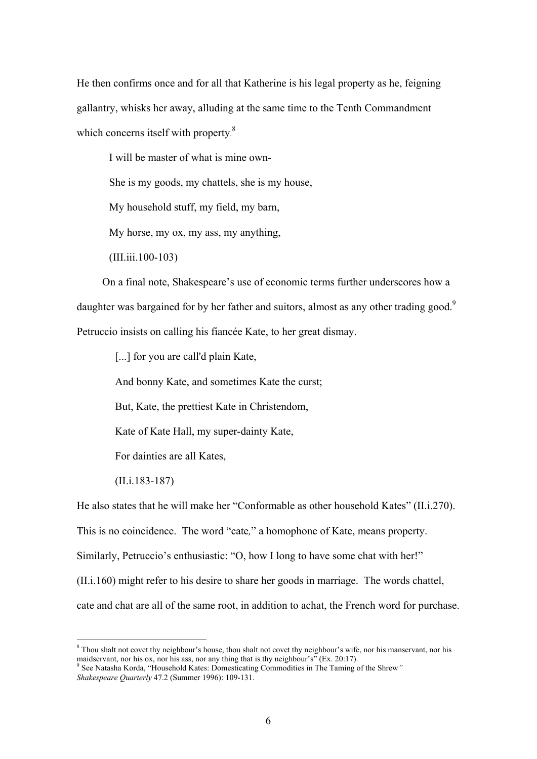He then confirms once and for all that Katherine is his legal property as he, feigning gallantry, whisks her away, alluding at the same time to the Tenth Commandment which concerns itself with property.<sup>8</sup>

I will be master of what is mine own-

She is my goods, my chattels, she is my house,

My household stuff, my field, my barn,

My horse, my ox, my ass, my anything,

(III.iii.100-103)

 On a final note, Shakespeare's use of economic terms further underscores how a daughter was bargained for by her father and suitors, almost as any other trading good.<sup>9</sup> Petruccio insists on calling his fiancée Kate, to her great dismay.

[...] for you are call'd plain Kate,

And bonny Kate, and sometimes Kate the curst;

But, Kate, the prettiest Kate in Christendom,

Kate of Kate Hall, my super-dainty Kate,

For dainties are all Kates,

(II.i.183-187)

1

He also states that he will make her "Conformable as other household Kates" (II.i.270). This is no coincidence. The word "cate*,*" a homophone of Kate, means property. Similarly, Petruccio's enthusiastic: "O, how I long to have some chat with her!" (II.i.160) might refer to his desire to share her goods in marriage. The words chattel, cate and chat are all of the same root, in addition to achat, the French word for purchase.

<sup>&</sup>lt;sup>8</sup> Thou shalt not covet thy neighbour's house, thou shalt not covet thy neighbour's wife, nor his manservant, nor his maidservant, nor his ox, nor his ass, nor any thing that is thy neighbour's" (Ex. 20:17).

See Natasha Korda, "Household Kates: Domesticating Commodities in The Taming of the Shrew*" Shakespeare Quarterly* 47.2 (Summer 1996): 109-131.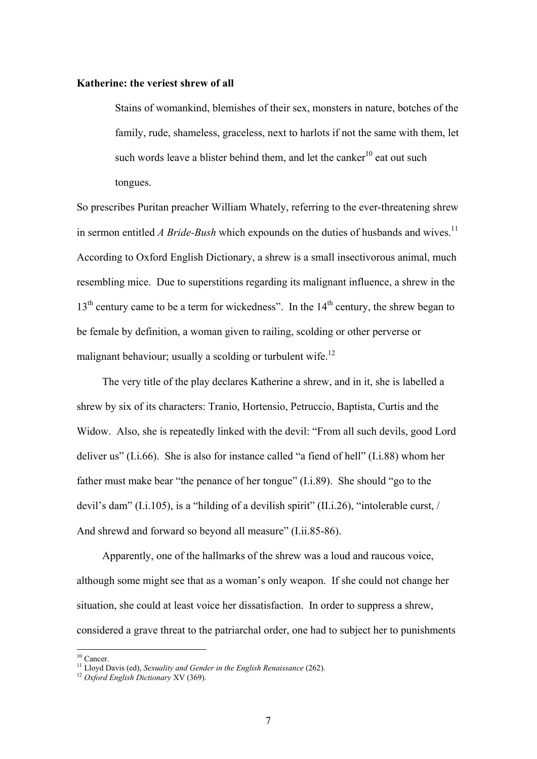#### **Katherine: the veriest shrew of all**

Stains of womankind, blemishes of their sex, monsters in nature, botches of the family, rude, shameless, graceless, next to harlots if not the same with them, let such words leave a blister behind them, and let the canker<sup>10</sup> eat out such tongues.

So prescribes Puritan preacher William Whately, referring to the ever-threatening shrew in sermon entitled *A Bride-Bush* which expounds on the duties of husbands and wives.<sup>11</sup> According to Oxford English Dictionary, a shrew is a small insectivorous animal, much resembling mice. Due to superstitions regarding its malignant influence, a shrew in the  $13<sup>th</sup>$  century came to be a term for wickedness". In the  $14<sup>th</sup>$  century, the shrew began to be female by definition, a woman given to railing, scolding or other perverse or malignant behaviour; usually a scolding or turbulent wife.<sup>12</sup>

 The very title of the play declares Katherine a shrew, and in it, she is labelled a shrew by six of its characters: Tranio, Hortensio, Petruccio, Baptista, Curtis and the Widow. Also, she is repeatedly linked with the devil: "From all such devils, good Lord deliver us" (I.i.66). She is also for instance called "a fiend of hell" (I.i.88) whom her father must make bear "the penance of her tongue" (I.i.89). She should "go to the devil's dam" (I.i.105), is a "hilding of a devilish spirit" (II.i.26), "intolerable curst, / And shrewd and forward so beyond all measure" (I.ii.85-86).

 Apparently, one of the hallmarks of the shrew was a loud and raucous voice, although some might see that as a woman's only weapon. If she could not change her situation, she could at least voice her dissatisfaction.In order to suppress a shrew, considered a grave threat to the patriarchal order, one had to subject her to punishments

 $10$  Cancer.

<sup>11</sup> Lloyd Davis (ed), *Sexuality and Gender in the English Renaissance* (262). 12 *Oxford English Dictionary* XV (369).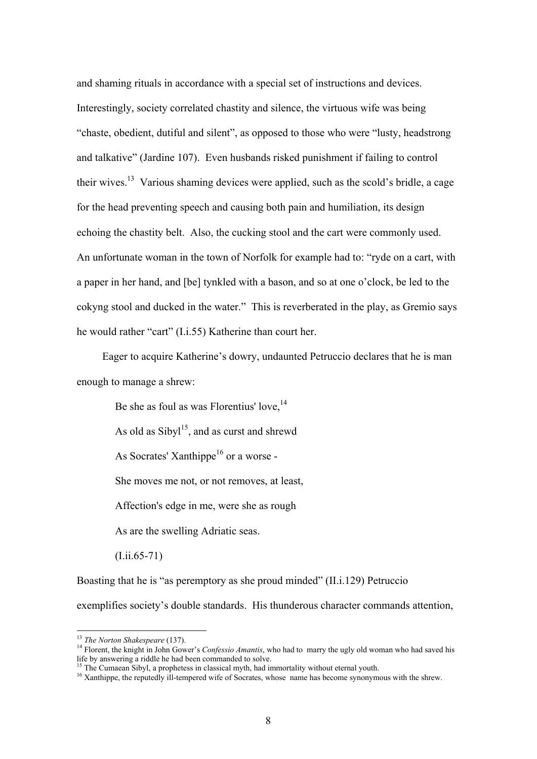and shaming rituals in accordance with a special set of instructions and devices. Interestingly, society correlated chastity and silence, the virtuous wife was being "chaste, obedient, dutiful and silent", as opposed to those who were "lusty, headstrong and talkative" (Jardine 107). Even husbands risked punishment if failing to control their wives.<sup>13</sup> Various shaming devices were applied, such as the scold's bridle, a cage for the head preventing speech and causing both pain and humiliation, its design echoing the chastity belt. Also, the cucking stool and the cart were commonly used. An unfortunate woman in the town of Norfolk for example had to: "ryde on a cart, with a paper in her hand, and [be] tynkled with a bason, and so at one o'clock, be led to the cokyng stool and ducked in the water." This is reverberated in the play, as Gremio says he would rather "cart" (I.i.55) Katherine than court her.

 Eager to acquire Katherine's dowry, undaunted Petruccio declares that he is man enough to manage a shrew:

Be she as foul as was Florentius' love,  $14$ As old as  $Sibyl<sup>15</sup>$ , and as curst and shrewd As Socrates' Xanthippe<sup>16</sup> or a worse -She moves me not, or not removes, at least, Affection's edge in me, were she as rough As are the swelling Adriatic seas. (I.ii.65-71)

Boasting that he is "as peremptory as she proud minded" (II.i.129) Petruccio exemplifies society's double standards. His thunderous character commands attention,

<sup>&</sup>lt;sup>13</sup> *The Norton Shakespeare* (137).<br><sup>14</sup> Florent, the knight in John Gower's *Confessio Amantis*, who had to marry the ugly old woman who had saved his life by answering a riddle he had been commanded to solve.<br>
<sup>15</sup> The Cumaean Sibyl, a prophetess in classical myth, had immortality without eternal youth.

<sup>&</sup>lt;sup>16</sup> Xanthippe, the reputedly ill-tempered wife of Socrates, whose name has become synonymous with the shrew.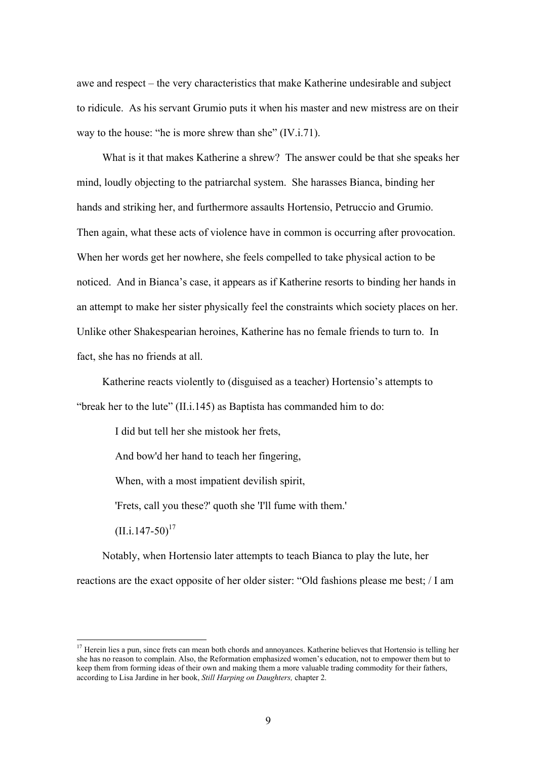awe and respect – the very characteristics that make Katherine undesirable and subject to ridicule. As his servant Grumio puts it when his master and new mistress are on their way to the house: "he is more shrew than she" (IV.i.71).

 What is it that makes Katherine a shrew? The answer could be that she speaks her mind, loudly objecting to the patriarchal system. She harasses Bianca, binding her hands and striking her, and furthermore assaults Hortensio, Petruccio and Grumio. Then again, what these acts of violence have in common is occurring after provocation. When her words get her nowhere, she feels compelled to take physical action to be noticed. And in Bianca's case, it appears as if Katherine resorts to binding her hands in an attempt to make her sister physically feel the constraints which society places on her. Unlike other Shakespearian heroines, Katherine has no female friends to turn to. In fact, she has no friends at all.

 Katherine reacts violently to (disguised as a teacher) Hortensio's attempts to "break her to the lute" (II.i.145) as Baptista has commanded him to do:

I did but tell her she mistook her frets,

And bow'd her hand to teach her fingering,

When, with a most impatient devilish spirit,

'Frets, call you these?' quoth she 'I'll fume with them.'

 $(II. i.147-50)^{17}$ 

1

 Notably, when Hortensio later attempts to teach Bianca to play the lute, her reactions are the exact opposite of her older sister: "Old fashions please me best; / I am

 $17$  Herein lies a pun, since frets can mean both chords and annoyances. Katherine believes that Hortensio is telling her she has no reason to complain. Also, the Reformation emphasized women's education, not to empower them but to keep them from forming ideas of their own and making them a more valuable trading commodity for their fathers, according to Lisa Jardine in her book, *Still Harping on Daughters,* chapter 2.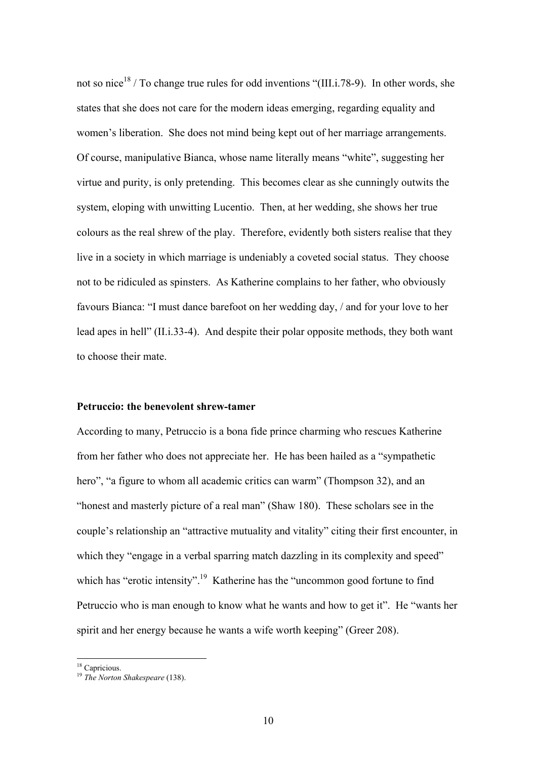not so nice<sup>18</sup> / To change true rules for odd inventions "(III.i.78-9). In other words, she states that she does not care for the modern ideas emerging, regarding equality and women's liberation. She does not mind being kept out of her marriage arrangements. Of course, manipulative Bianca, whose name literally means "white", suggesting her virtue and purity, is only pretending. This becomes clear as she cunningly outwits the system, eloping with unwitting Lucentio. Then, at her wedding, she shows her true colours as the real shrew of the play. Therefore, evidently both sisters realise that they live in a society in which marriage is undeniably a coveted social status. They choose not to be ridiculed as spinsters. As Katherine complains to her father, who obviously favours Bianca: "I must dance barefoot on her wedding day, / and for your love to her lead apes in hell" (II.i.33-4). And despite their polar opposite methods, they both want to choose their mate.

#### **Petruccio: the benevolent shrew-tamer**

According to many, Petruccio is a bona fide prince charming who rescues Katherine from her father who does not appreciate her. He has been hailed as a "sympathetic hero", "a figure to whom all academic critics can warm" (Thompson 32), and an "honest and masterly picture of a real man" (Shaw 180). These scholars see in the couple's relationship an "attractive mutuality and vitality" citing their first encounter, in which they "engage in a verbal sparring match dazzling in its complexity and speed" which has "erotic intensity".<sup>19</sup> Katherine has the "uncommon good fortune to find Petruccio who is man enough to know what he wants and how to get it". He "wants her spirit and her energy because he wants a wife worth keeping" (Greer 208).

<sup>&</sup>lt;sup>18</sup> Capricious.

<sup>19</sup> *The Norton Shakespeare* (138).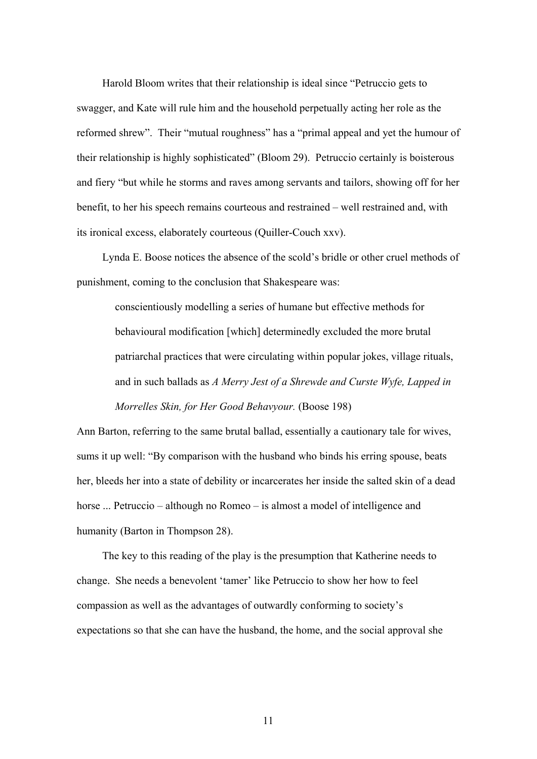Harold Bloom writes that their relationship is ideal since "Petruccio gets to swagger, and Kate will rule him and the household perpetually acting her role as the reformed shrew". Their "mutual roughness" has a "primal appeal and yet the humour of their relationship is highly sophisticated" (Bloom 29). Petruccio certainly is boisterous and fiery "but while he storms and raves among servants and tailors, showing off for her benefit, to her his speech remains courteous and restrained – well restrained and, with its ironical excess, elaborately courteous (Quiller-Couch xxv).

 Lynda E. Boose notices the absence of the scold's bridle or other cruel methods of punishment, coming to the conclusion that Shakespeare was:

conscientiously modelling a series of humane but effective methods for behavioural modification [which] determinedly excluded the more brutal patriarchal practices that were circulating within popular jokes, village rituals, and in such ballads as *A Merry Jest of a Shrewde and Curste Wyfe, Lapped in Morrelles Skin, for Her Good Behavyour.* (Boose 198)

Ann Barton, referring to the same brutal ballad, essentially a cautionary tale for wives, sums it up well: "By comparison with the husband who binds his erring spouse, beats her, bleeds her into a state of debility or incarcerates her inside the salted skin of a dead horse ... Petruccio – although no Romeo – is almost a model of intelligence and humanity (Barton in Thompson 28).

 The key to this reading of the play is the presumption that Katherine needs to change. She needs a benevolent 'tamer' like Petruccio to show her how to feel compassion as well as the advantages of outwardly conforming to society's expectations so that she can have the husband, the home, and the social approval she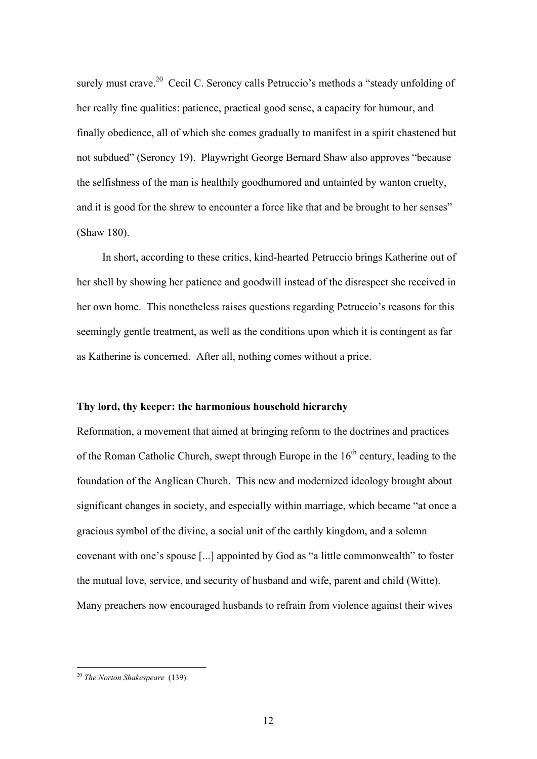surely must crave.<sup>20</sup> Cecil C. Seroncy calls Petruccio's methods a "steady unfolding of her really fine qualities: patience, practical good sense, a capacity for humour, and finally obedience, all of which she comes gradually to manifest in a spirit chastened but not subdued" (Seroncy 19). Playwright George Bernard Shaw also approves "because the selfishness of the man is healthily goodhumored and untainted by wanton cruelty, and it is good for the shrew to encounter a force like that and be brought to her senses" (Shaw 180).

 In short, according to these critics, kind-hearted Petruccio brings Katherine out of her shell by showing her patience and goodwill instead of the disrespect she received in her own home. This nonetheless raises questions regarding Petruccio's reasons for this seemingly gentle treatment, as well as the conditions upon which it is contingent as far as Katherine is concerned. After all, nothing comes without a price.

#### **Thy lord, thy keeper: the harmonious household hierarchy**

Reformation, a movement that aimed at bringing reform to the doctrines and practices of the Roman Catholic Church, swept through Europe in the  $16<sup>th</sup>$  century, leading to the foundation of the Anglican Church. This new and modernized ideology brought about significant changes in society, and especially within marriage, which became "at once a gracious symbol of the divine, a social unit of the earthly kingdom, and a solemn covenant with one's spouse [...] appointed by God as "a little commonwealth" to foster the mutual love, service, and security of husband and wife, parent and child (Witte). Many preachers now encouraged husbands to refrain from violence against their wives

<u>.</u>

<sup>20</sup> *The Norton Shakespeare* (139).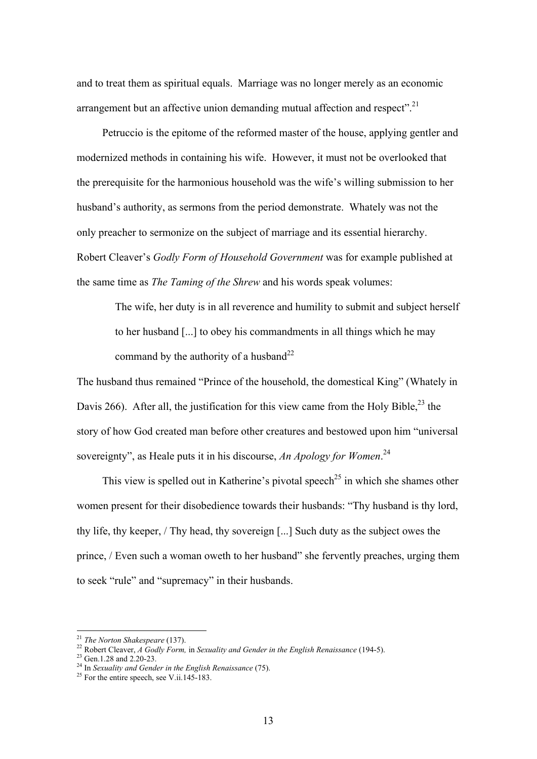and to treat them as spiritual equals. Marriage was no longer merely as an economic arrangement but an affective union demanding mutual affection and respect".<sup>21</sup>

 Petruccio is the epitome of the reformed master of the house, applying gentler and modernized methods in containing his wife. However, it must not be overlooked that the prerequisite for the harmonious household was the wife's willing submission to her husband's authority, as sermons from the period demonstrate. Whately was not the only preacher to sermonize on the subject of marriage and its essential hierarchy. Robert Cleaver's *Godly Form of Household Government* was for example published at the same time as *The Taming of the Shrew* and his words speak volumes:

The wife, her duty is in all reverence and humility to submit and subject herself to her husband [...] to obey his commandments in all things which he may command by the authority of a husband<sup>22</sup>

The husband thus remained "Prince of the household, the domestical King" (Whately in Davis 266). After all, the justification for this view came from the Holy Bible,  $^{23}$  the story of how God created man before other creatures and bestowed upon him "universal sovereignty", as Heale puts it in his discourse, *An Apology for Women*. 24

This view is spelled out in Katherine's pivotal speech<sup>25</sup> in which she shames other women present for their disobedience towards their husbands: "Thy husband is thy lord, thy life, thy keeper, / Thy head, thy sovereign [...] Such duty as the subject owes the prince, / Even such a woman oweth to her husband" she fervently preaches, urging them to seek "rule" and "supremacy" in their husbands.

<sup>21</sup> *The Norton Shakespeare* (137). 22 Robert Cleaver, *A Godly Form,* in *Sexuality and Gender in the English Renaissance* (194-5). 23 Gen.1.28 and 2.20-23.

<sup>&</sup>lt;sup>24</sup> In *Sexuality and Gender in the English Renaissance* (75).<br><sup>25</sup> For the entire speech, see V.ii.145-183.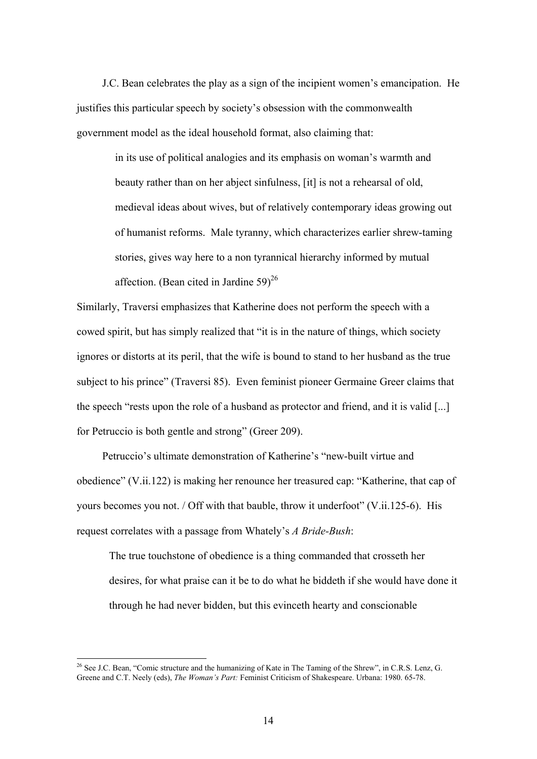J.C. Bean celebrates the play as a sign of the incipient women's emancipation. He justifies this particular speech by society's obsession with the commonwealth government model as the ideal household format, also claiming that:

in its use of political analogies and its emphasis on woman's warmth and beauty rather than on her abject sinfulness, [it] is not a rehearsal of old, medieval ideas about wives, but of relatively contemporary ideas growing out of humanist reforms. Male tyranny, which characterizes earlier shrew-taming stories, gives way here to a non tyrannical hierarchy informed by mutual affection. (Bean cited in Jardine  $59)^{26}$ 

Similarly, Traversi emphasizes that Katherine does not perform the speech with a cowed spirit, but has simply realized that "it is in the nature of things, which society ignores or distorts at its peril, that the wife is bound to stand to her husband as the true subject to his prince" (Traversi 85). Even feminist pioneer Germaine Greer claims that the speech "rests upon the role of a husband as protector and friend, and it is valid [...] for Petruccio is both gentle and strong" (Greer 209).

Petruccio's ultimate demonstration of Katherine's "new-built virtue and obedience" (V.ii.122) is making her renounce her treasured cap: "Katherine, that cap of yours becomes you not. / Off with that bauble, throw it underfoot" (V.ii.125-6). His request correlates with a passage from Whately's *A Bride-Bush*:

The true touchstone of obedience is a thing commanded that crosseth her desires, for what praise can it be to do what he biddeth if she would have done it through he had never bidden, but this evinceth hearty and conscionable

<sup>&</sup>lt;sup>26</sup> See J.C. Bean, "Comic structure and the humanizing of Kate in The Taming of the Shrew", in C.R.S. Lenz, G. Greene and C.T. Neely (eds), *The Woman's Part:* Feminist Criticism of Shakespeare. Urbana: 1980. 65-78.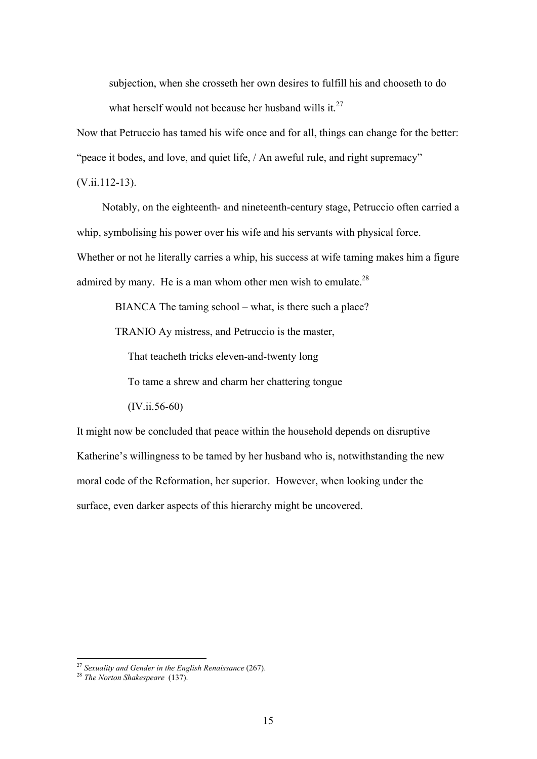subjection, when she crosseth her own desires to fulfill his and chooseth to do what herself would not because her husband wills it. $27$ 

Now that Petruccio has tamed his wife once and for all, things can change for the better:

"peace it bodes, and love, and quiet life, / An aweful rule, and right supremacy"

(V.ii.112-13).

 Notably, on the eighteenth- and nineteenth-century stage, Petruccio often carried a whip, symbolising his power over his wife and his servants with physical force.

Whether or not he literally carries a whip, his success at wife taming makes him a figure admired by many. He is a man whom other men wish to emulate. $^{28}$ 

BIANCA The taming school – what, is there such a place?

TRANIO Ay mistress, and Petruccio is the master,

That teacheth tricks eleven-and-twenty long

To tame a shrew and charm her chattering tongue

(IV.ii.56-60)

It might now be concluded that peace within the household depends on disruptive Katherine's willingness to be tamed by her husband who is, notwithstanding the new moral code of the Reformation, her superior. However, when looking under the surface, even darker aspects of this hierarchy might be uncovered.

<sup>27</sup> *Sexuality and Gender in the English Renaissance* (267). 28 *The Norton Shakespeare* (137).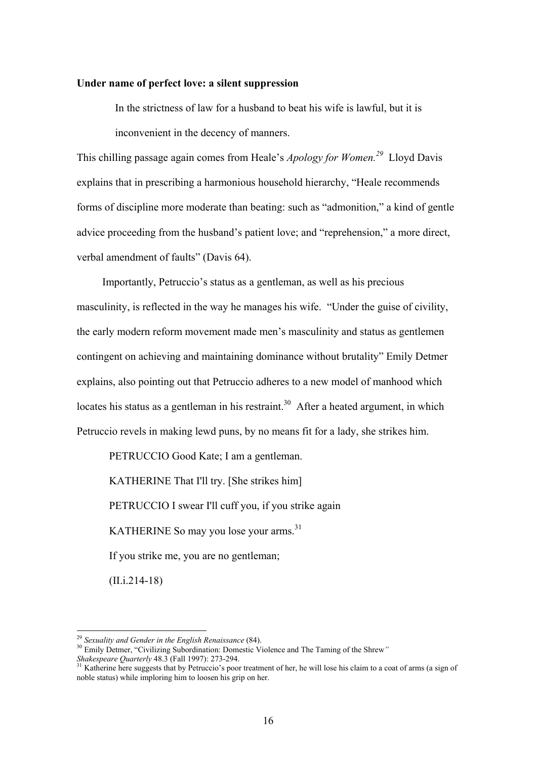#### **Under name of perfect love: a silent suppression**

In the strictness of law for a husband to beat his wife is lawful, but it is inconvenient in the decency of manners.

This chilling passage again comes from Heale's *Apology for Women.29*Lloyd Davis explains that in prescribing a harmonious household hierarchy, "Heale recommends forms of discipline more moderate than beating: such as "admonition," a kind of gentle advice proceeding from the husband's patient love; and "reprehension," a more direct, verbal amendment of faults" (Davis 64).

 Importantly, Petruccio's status as a gentleman, as well as his precious masculinity, is reflected in the way he manages his wife. "Under the guise of civility, the early modern reform movement made men's masculinity and status as gentlemen contingent on achieving and maintaining dominance without brutality" Emily Detmer explains, also pointing out that Petruccio adheres to a new model of manhood which locates his status as a gentleman in his restraint.<sup>30</sup> After a heated argument, in which Petruccio revels in making lewd puns, by no means fit for a lady, she strikes him.

PETRUCCIO Good Kate; I am a gentleman. KATHERINE That I'll try. [She strikes him] PETRUCCIO I swear I'll cuff you, if you strike again KATHERINE So may you lose your arms.<sup>31</sup> If you strike me, you are no gentleman;

(II.i.214-18)

<sup>&</sup>lt;sup>29</sup> *Sexuality and Gender in the English Renaissance* (84).<br><sup>30</sup> Emily Detmer, "Civilizing Subordination: Domestic Violence and The Taming of the Shrew" *Shakespeare Quarterly* 48.3 (Fall 1997): 273-294.<br><sup>31</sup> Katherine here suggests that by Petruccio's poor treatment of her, he will lose his claim to a coat of arms (a sign of

noble status) while imploring him to loosen his grip on her.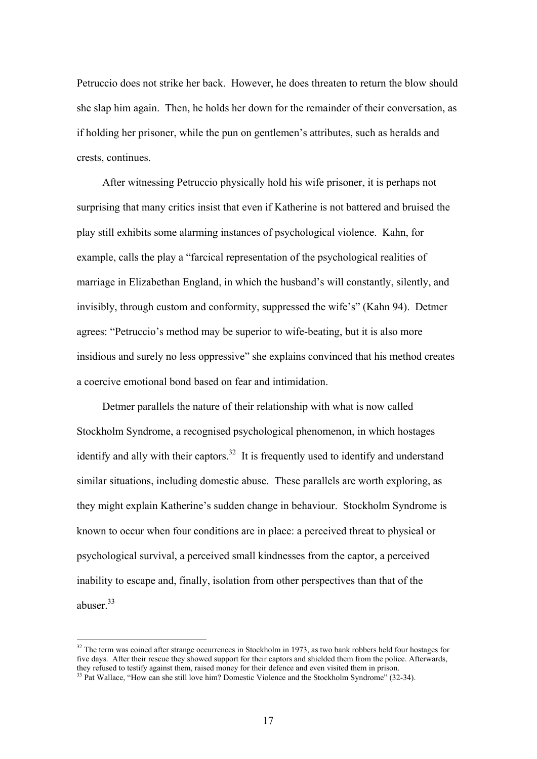Petruccio does not strike her back. However, he does threaten to return the blow should she slap him again. Then, he holds her down for the remainder of their conversation, as if holding her prisoner, while the pun on gentlemen's attributes, such as heralds and crests, continues.

 After witnessing Petruccio physically hold his wife prisoner, it is perhaps not surprising that many critics insist that even if Katherine is not battered and bruised the play still exhibits some alarming instances of psychological violence. Kahn, for example, calls the play a "farcical representation of the psychological realities of marriage in Elizabethan England, in which the husband's will constantly, silently, and invisibly, through custom and conformity, suppressed the wife's" (Kahn 94). Detmer agrees: "Petruccio's method may be superior to wife-beating, but it is also more insidious and surely no less oppressive" she explains convinced that his method creates a coercive emotional bond based on fear and intimidation.

 Detmer parallels the nature of their relationship with what is now called Stockholm Syndrome, a recognised psychological phenomenon, in which hostages identify and ally with their captors.<sup>32</sup> It is frequently used to identify and understand similar situations, including domestic abuse. These parallels are worth exploring, as they might explain Katherine's sudden change in behaviour. Stockholm Syndrome is known to occur when four conditions are in place: a perceived threat to physical or psychological survival, a perceived small kindnesses from the captor, a perceived inability to escape and, finally, isolation from other perspectives than that of the abuser $33$ 

 $32$  The term was coined after strange occurrences in Stockholm in 1973, as two bank robbers held four hostages for five days. After their rescue they showed support for their captors and shielded them from the police. Afterwards, they refused to testify against them, raised money for their defence and even visited them in prison.<br><sup>33</sup> Pat Wallace, "How can she still love him? Domestic Violence and the Stockholm Syndrome" (32-34).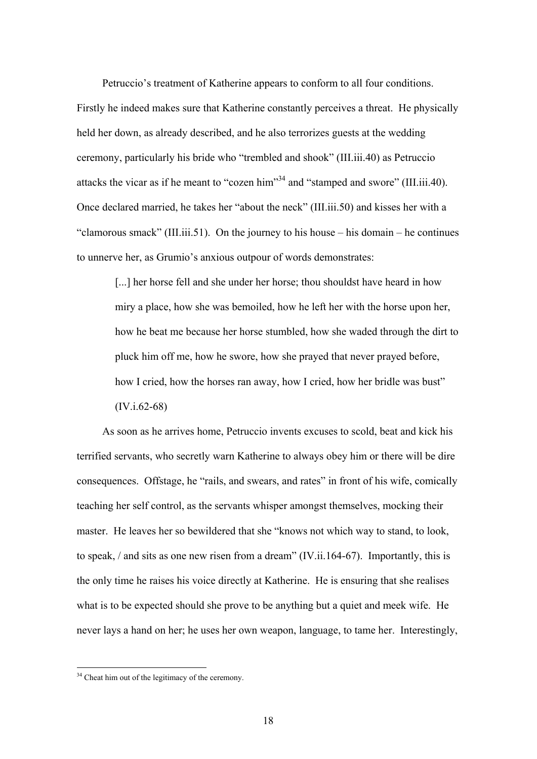Petruccio's treatment of Katherine appears to conform to all four conditions. Firstly he indeed makes sure that Katherine constantly perceives a threat. He physically held her down, as already described, and he also terrorizes guests at the wedding ceremony, particularly his bride who "trembled and shook" (III.iii.40) as Petruccio attacks the vicar as if he meant to "cozen him"34 and "stamped and swore" (III.iii.40). Once declared married, he takes her "about the neck" (III.iii.50) and kisses her with a "clamorous smack" (III.iii.51). On the journey to his house – his domain – he continues to unnerve her, as Grumio's anxious outpour of words demonstrates:

[...] her horse fell and she under her horse; thou shouldst have heard in how miry a place, how she was bemoiled, how he left her with the horse upon her, how he beat me because her horse stumbled, how she waded through the dirt to pluck him off me, how he swore, how she prayed that never prayed before, how I cried, how the horses ran away, how I cried, how her bridle was bust" (IV.i.62-68)

 As soon as he arrives home, Petruccio invents excuses to scold, beat and kick his terrified servants, who secretly warn Katherine to always obey him or there will be dire consequences. Offstage, he "rails, and swears, and rates" in front of his wife, comically teaching her self control, as the servants whisper amongst themselves, mocking their master. He leaves her so bewildered that she "knows not which way to stand, to look, to speak, / and sits as one new risen from a dream" (IV.ii.164-67). Importantly, this is the only time he raises his voice directly at Katherine. He is ensuring that she realises what is to be expected should she prove to be anything but a quiet and meek wife. He never lays a hand on her; he uses her own weapon, language, to tame her. Interestingly,

<u>.</u>

<sup>&</sup>lt;sup>34</sup> Cheat him out of the legitimacy of the ceremony.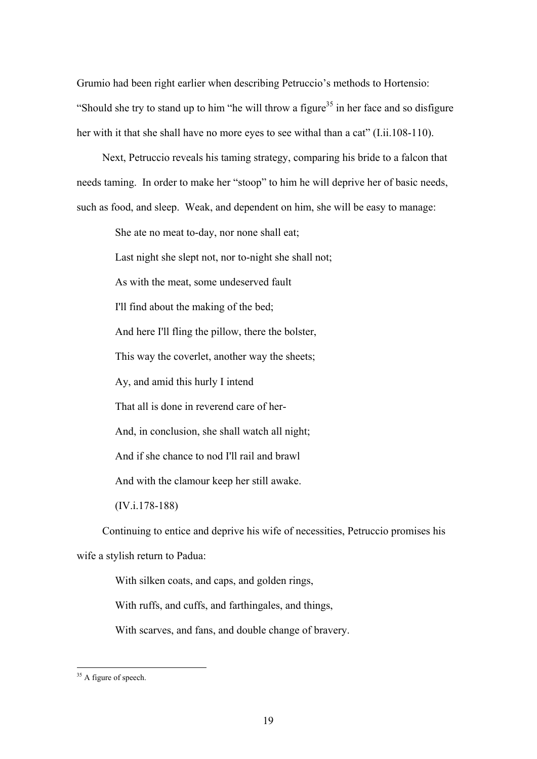Grumio had been right earlier when describing Petruccio's methods to Hortensio: "Should she try to stand up to him "he will throw a figure<sup>35</sup> in her face and so disfigure" her with it that she shall have no more eyes to see withal than a cat" (I.ii.108-110).

 Next, Petruccio reveals his taming strategy, comparing his bride to a falcon that needs taming. In order to make her "stoop" to him he will deprive her of basic needs, such as food, and sleep. Weak, and dependent on him, she will be easy to manage:

She ate no meat to-day, nor none shall eat;

Last night she slept not, nor to-night she shall not;

As with the meat, some undeserved fault

I'll find about the making of the bed;

And here I'll fling the pillow, there the bolster,

This way the coverlet, another way the sheets;

Ay, and amid this hurly I intend

That all is done in reverend care of her-

And, in conclusion, she shall watch all night;

And if she chance to nod I'll rail and brawl

And with the clamour keep her still awake.

(IV.i.178-188)

 Continuing to entice and deprive his wife of necessities, Petruccio promises his wife a stylish return to Padua:

With silken coats, and caps, and golden rings,

With ruffs, and cuffs, and farthingales, and things,

With scarves, and fans, and double change of bravery.

<u>.</u>

<sup>&</sup>lt;sup>35</sup> A figure of speech.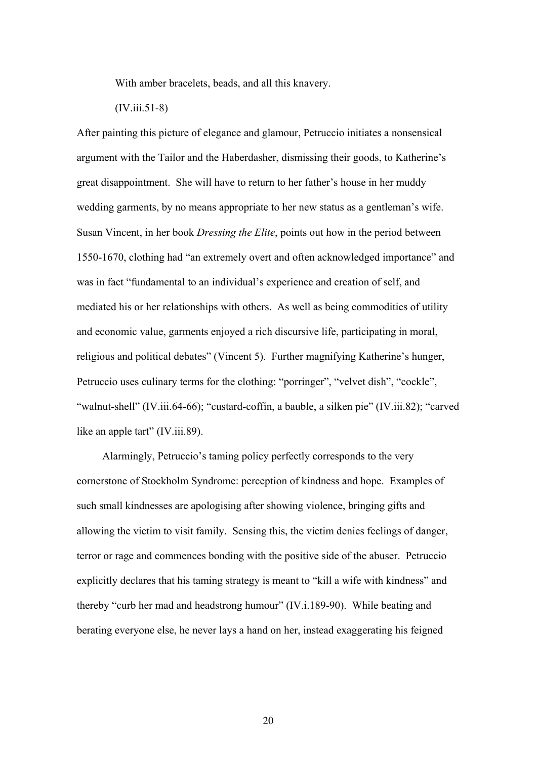With amber bracelets, beads, and all this knavery.

(IV.iii.51-8)

After painting this picture of elegance and glamour, Petruccio initiates a nonsensical argument with the Tailor and the Haberdasher, dismissing their goods, to Katherine's great disappointment. She will have to return to her father's house in her muddy wedding garments, by no means appropriate to her new status as a gentleman's wife. Susan Vincent, in her book *Dressing the Elite*, points out how in the period between 1550-1670, clothing had "an extremely overt and often acknowledged importance" and was in fact "fundamental to an individual's experience and creation of self, and mediated his or her relationships with others. As well as being commodities of utility and economic value, garments enjoyed a rich discursive life, participating in moral, religious and political debates" (Vincent 5). Further magnifying Katherine's hunger, Petruccio uses culinary terms for the clothing: "porringer", "velvet dish", "cockle", "walnut-shell" (IV.iii.64-66); "custard-coffin, a bauble, a silken pie" (IV.iii.82); "carved like an apple tart" (IV.iii.89).

 Alarmingly, Petruccio's taming policy perfectly corresponds to the very cornerstone of Stockholm Syndrome: perception of kindness and hope. Examples of such small kindnesses are apologising after showing violence, bringing gifts and allowing the victim to visit family. Sensing this, the victim denies feelings of danger, terror or rage and commences bonding with the positive side of the abuser. Petruccio explicitly declares that his taming strategy is meant to "kill a wife with kindness" and thereby "curb her mad and headstrong humour" (IV.i.189-90). While beating and berating everyone else, he never lays a hand on her, instead exaggerating his feigned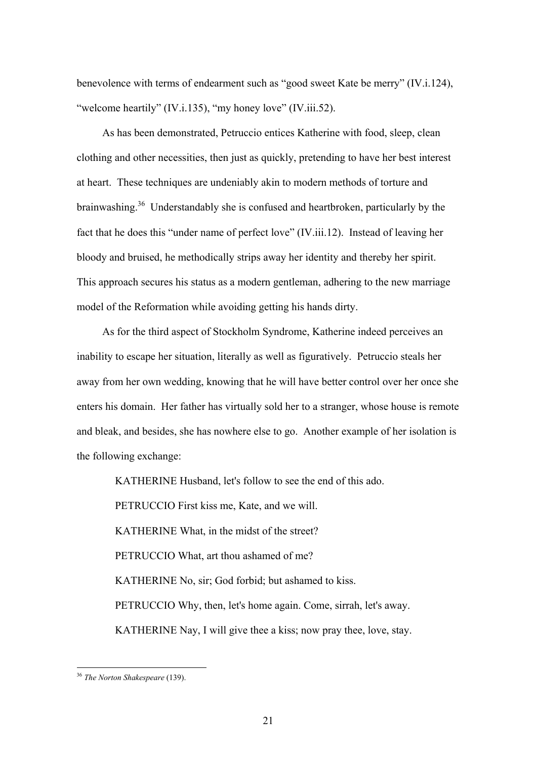benevolence with terms of endearment such as "good sweet Kate be merry" (IV.i.124), "welcome heartily" (IV.i.135), "my honey love" (IV.iii.52).

 As has been demonstrated, Petruccio entices Katherine with food, sleep, clean clothing and other necessities, then just as quickly, pretending to have her best interest at heart. These techniques are undeniably akin to modern methods of torture and brainwashing.36 Understandably she is confused and heartbroken, particularly by the fact that he does this "under name of perfect love" (IV.iii.12). Instead of leaving her bloody and bruised, he methodically strips away her identity and thereby her spirit. This approach secures his status as a modern gentleman, adhering to the new marriage model of the Reformation while avoiding getting his hands dirty.

 As for the third aspect of Stockholm Syndrome, Katherine indeed perceives an inability to escape her situation, literally as well as figuratively. Petruccio steals her away from her own wedding, knowing that he will have better control over her once she enters his domain. Her father has virtually sold her to a stranger, whose house is remote and bleak, and besides, she has nowhere else to go. Another example of her isolation is the following exchange:

KATHERINE Husband, let's follow to see the end of this ado.

PETRUCCIO First kiss me, Kate, and we will.

KATHERINE What, in the midst of the street?

PETRUCCIO What, art thou ashamed of me?

KATHERINE No, sir; God forbid; but ashamed to kiss.

PETRUCCIO Why, then, let's home again. Come, sirrah, let's away.

KATHERINE Nay, I will give thee a kiss; now pray thee, love, stay.

<u>.</u>

<sup>36</sup> *The Norton Shakespeare* (139).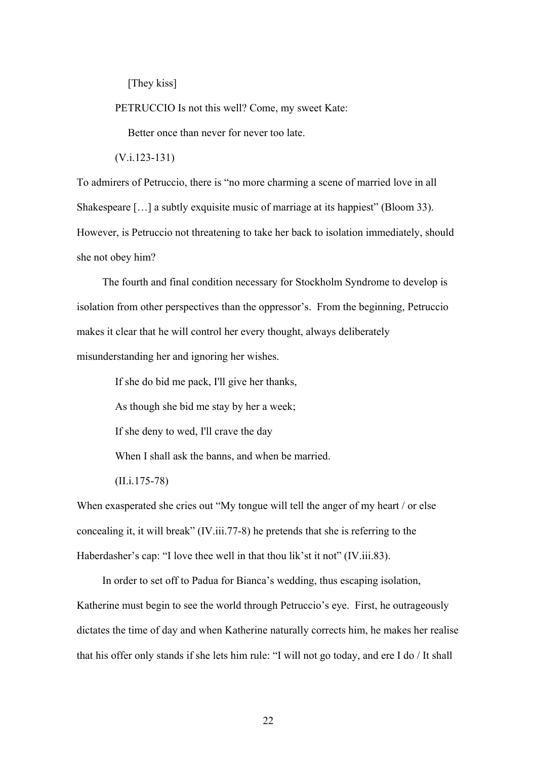[They kiss]

PETRUCCIO Is not this well? Come, my sweet Kate:

Better once than never for never too late.

(V.i.123-131)

To admirers of Petruccio, there is "no more charming a scene of married love in all Shakespeare [...] a subtly exquisite music of marriage at its happiest" (Bloom 33). However, is Petruccio not threatening to take her back to isolation immediately, should she not obey him?

 The fourth and final condition necessary for Stockholm Syndrome to develop is isolation from other perspectives than the oppressor's. From the beginning, Petruccio makes it clear that he will control her every thought, always deliberately misunderstanding her and ignoring her wishes.

If she do bid me pack, I'll give her thanks,

As though she bid me stay by her a week;

If she deny to wed, I'll crave the day

When I shall ask the banns, and when be married.

(II.i.175-78)

When exasperated she cries out "My tongue will tell the anger of my heart / or else concealing it, it will break" (IV.iii.77-8) he pretends that she is referring to the Haberdasher's cap: "I love thee well in that thou lik'st it not" (IV.iii.83).

 In order to set off to Padua for Bianca's wedding, thus escaping isolation, Katherine must begin to see the world through Petruccio's eye. First, he outrageously dictates the time of day and when Katherine naturally corrects him, he makes her realise that his offer only stands if she lets him rule: "I will not go today, and ere I do / It shall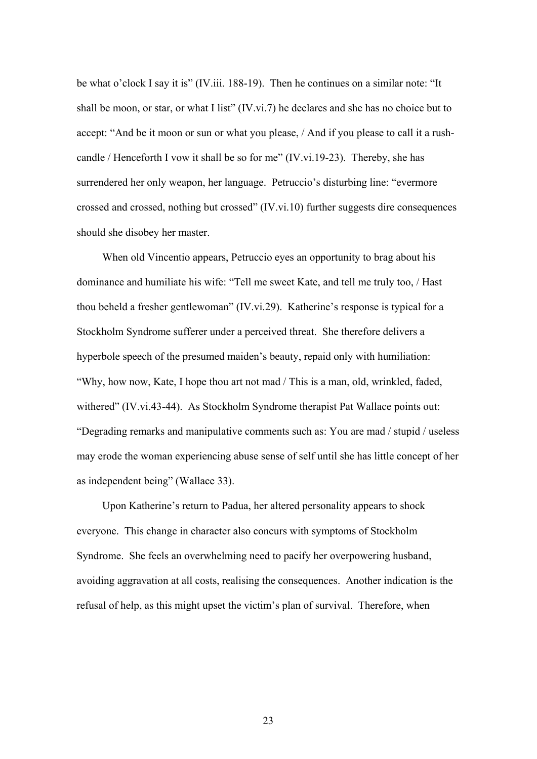be what o'clock I say it is" (IV.iii. 188-19). Then he continues on a similar note: "It shall be moon, or star, or what I list" (IV.vi.7) he declares and she has no choice but to accept: "And be it moon or sun or what you please, / And if you please to call it a rushcandle / Henceforth I vow it shall be so for me" (IV.vi.19-23). Thereby, she has surrendered her only weapon, her language. Petruccio's disturbing line: "evermore crossed and crossed, nothing but crossed" (IV.vi.10) further suggests dire consequences should she disobey her master.

 When old Vincentio appears, Petruccio eyes an opportunity to brag about his dominance and humiliate his wife: "Tell me sweet Kate, and tell me truly too, / Hast thou beheld a fresher gentlewoman" (IV.vi.29). Katherine's response is typical for a Stockholm Syndrome sufferer under a perceived threat. She therefore delivers a hyperbole speech of the presumed maiden's beauty, repaid only with humiliation: "Why, how now, Kate, I hope thou art not mad / This is a man, old, wrinkled, faded, withered" (IV.vi.43-44). As Stockholm Syndrome therapist Pat Wallace points out: "Degrading remarks and manipulative comments such as: You are mad / stupid / useless may erode the woman experiencing abuse sense of self until she has little concept of her as independent being" (Wallace 33).

 Upon Katherine's return to Padua, her altered personality appears to shock everyone. This change in character also concurs with symptoms of Stockholm Syndrome. She feels an overwhelming need to pacify her overpowering husband, avoiding aggravation at all costs, realising the consequences. Another indication is the refusal of help, as this might upset the victim's plan of survival. Therefore, when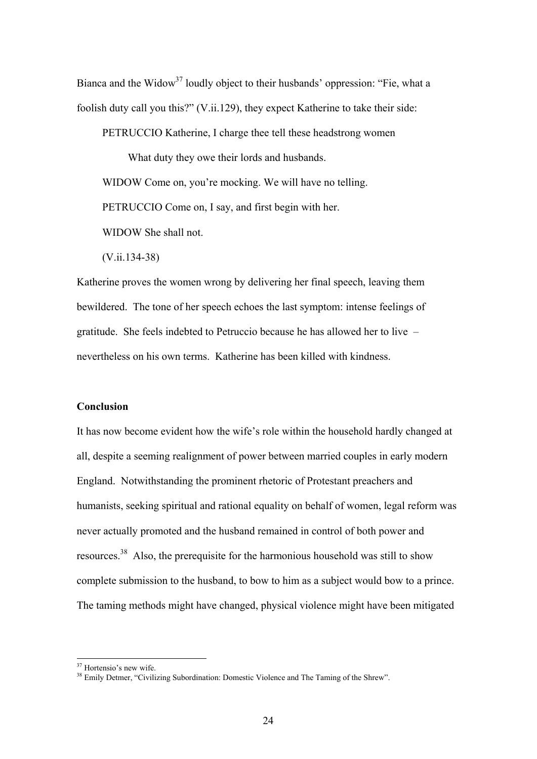Bianca and the Widow<sup>37</sup> loudly object to their husbands' oppression: "Fie, what a foolish duty call you this?" (V.ii.129), they expect Katherine to take their side:

PETRUCCIO Katherine, I charge thee tell these headstrong women

 What duty they owe their lords and husbands. WIDOW Come on, you're mocking. We will have no telling. PETRUCCIO Come on, I say, and first begin with her. WIDOW She shall not.

(V.ii.134-38)

Katherine proves the women wrong by delivering her final speech, leaving them bewildered. The tone of her speech echoes the last symptom: intense feelings of gratitude. She feels indebted to Petruccio because he has allowed her to live – nevertheless on his own terms. Katherine has been killed with kindness.

#### **Conclusion**

It has now become evident how the wife's role within the household hardly changed at all, despite a seeming realignment of power between married couples in early modern England. Notwithstanding the prominent rhetoric of Protestant preachers and humanists, seeking spiritual and rational equality on behalf of women, legal reform was never actually promoted and the husband remained in control of both power and resources.38 Also, the prerequisite for the harmonious household was still to show complete submission to the husband, to bow to him as a subject would bow to a prince. The taming methods might have changed, physical violence might have been mitigated

<sup>&</sup>lt;sup>37</sup> Hortensio's new wife.

<sup>&</sup>lt;sup>38</sup> Emily Detmer, "Civilizing Subordination: Domestic Violence and The Taming of the Shrew".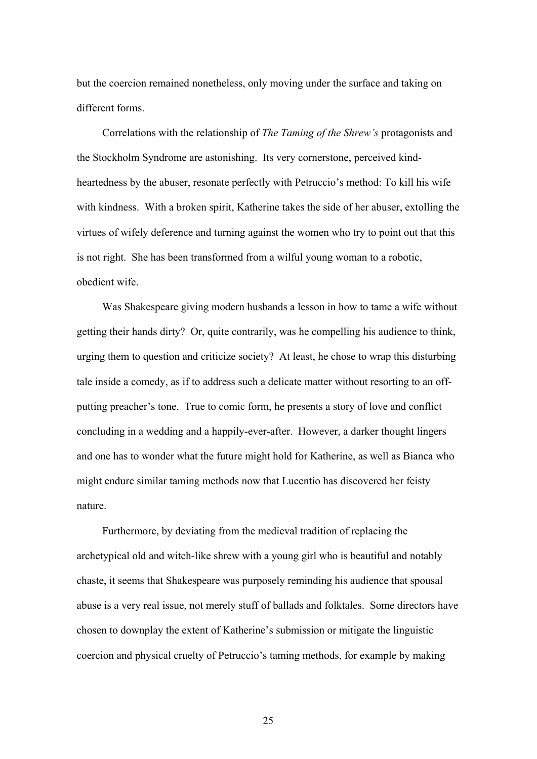but the coercion remained nonetheless, only moving under the surface and taking on different forms.

 Correlations with the relationship of *The Taming of the Shrew's* protagonists and the Stockholm Syndrome are astonishing. Its very cornerstone, perceived kindheartedness by the abuser, resonate perfectly with Petruccio's method: To kill his wife with kindness. With a broken spirit, Katherine takes the side of her abuser, extolling the virtues of wifely deference and turning against the women who try to point out that this is not right. She has been transformed from a wilful young woman to a robotic, obedient wife.

 Was Shakespeare giving modern husbands a lesson in how to tame a wife without getting their hands dirty? Or, quite contrarily, was he compelling his audience to think, urging them to question and criticize society? At least, he chose to wrap this disturbing tale inside a comedy, as if to address such a delicate matter without resorting to an offputting preacher's tone. True to comic form, he presents a story of love and conflict concluding in a wedding and a happily-ever-after. However, a darker thought lingers and one has to wonder what the future might hold for Katherine, as well as Bianca who might endure similar taming methods now that Lucentio has discovered her feisty nature.

 Furthermore, by deviating from the medieval tradition of replacing the archetypical old and witch-like shrew with a young girl who is beautiful and notably chaste, it seems that Shakespeare was purposely reminding his audience that spousal abuse is a very real issue, not merely stuff of ballads and folktales. Some directors have chosen to downplay the extent of Katherine's submission or mitigate the linguistic coercion and physical cruelty of Petruccio's taming methods, for example by making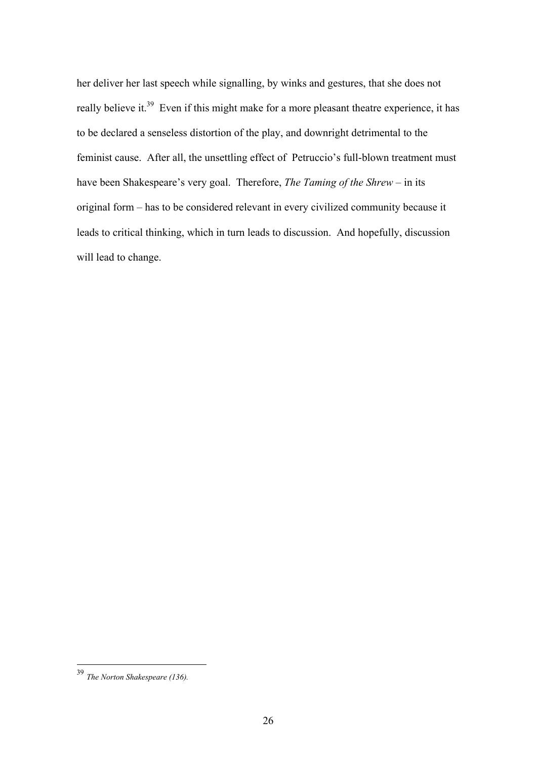her deliver her last speech while signalling, by winks and gestures, that she does not really believe it.<sup>39</sup> Even if this might make for a more pleasant theatre experience, it has to be declared a senseless distortion of the play, and downright detrimental to the feminist cause. After all, the unsettling effect of Petruccio's full-blown treatment must have been Shakespeare's very goal. Therefore, *The Taming of the Shrew* – in its original form – has to be considered relevant in every civilized community because it leads to critical thinking, which in turn leads to discussion. And hopefully, discussion will lead to change.

<sup>39</sup> *The Norton Shakespeare (136).*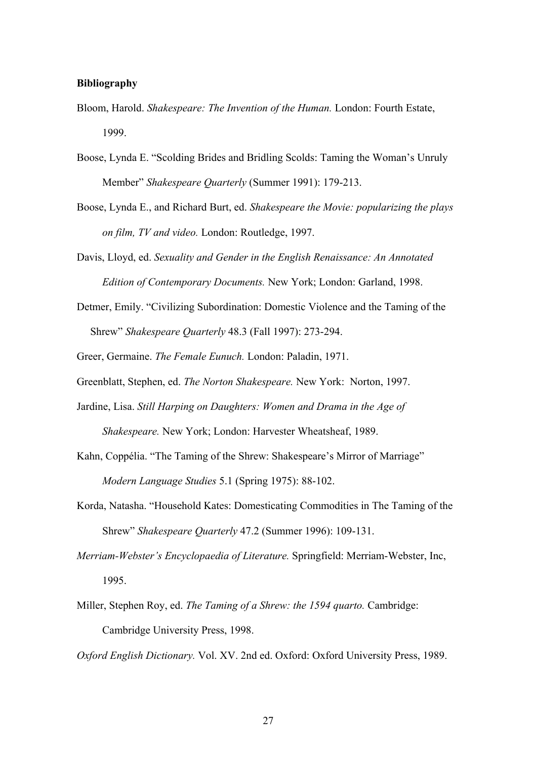#### **Bibliography**

- Bloom, Harold. *Shakespeare: The Invention of the Human.* London: Fourth Estate, 1999.
- Boose, Lynda E. "Scolding Brides and Bridling Scolds: Taming the Woman's Unruly Member" *Shakespeare Quarterly* (Summer 1991): 179-213.
- Boose, Lynda E., and Richard Burt, ed. *Shakespeare the Movie: popularizing the plays on film, TV and video.* London: Routledge, 1997.
- Davis, Lloyd, ed. *Sexuality and Gender in the English Renaissance: An Annotated Edition of Contemporary Documents.* New York; London: Garland, 1998.
- Detmer, Emily. "Civilizing Subordination: Domestic Violence and the Taming of the Shrew" *Shakespeare Quarterly* 48.3 (Fall 1997): 273-294.
- Greer, Germaine. *The Female Eunuch.* London: Paladin, 1971.
- Greenblatt, Stephen, ed. *The Norton Shakespeare.* New York: Norton, 1997.
- Jardine, Lisa. *Still Harping on Daughters: Women and Drama in the Age of Shakespeare.* New York; London: Harvester Wheatsheaf, 1989.
- Kahn, Coppélia. "The Taming of the Shrew: Shakespeare's Mirror of Marriage" *Modern Language Studies* 5.1 (Spring 1975): 88-102.
- Korda, Natasha. "Household Kates: Domesticating Commodities in The Taming of the Shrew" *Shakespeare Quarterly* 47.2 (Summer 1996): 109-131.
- *Merriam-Webster's Encyclopaedia of Literature.* Springfield: Merriam-Webster, Inc, 1995.
- Miller, Stephen Roy, ed. *The Taming of a Shrew: the 1594 quarto.* Cambridge: Cambridge University Press, 1998.
- *Oxford English Dictionary.* Vol. XV. 2nd ed. Oxford: Oxford University Press, 1989.